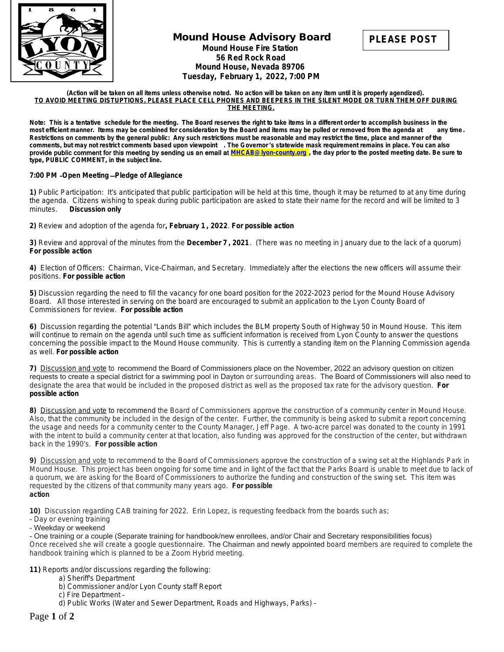

# **Mound House Advisory Board Mound House Fire Station 56 Red Rock Road Mound House, Nevada 89706 Tuesday, February 1, 2022, 7:00 PM**



#### **(Action will be taken on all items unless otherwise noted. No action will be taken on any item until it is properly agendized). TO AVOID MEETING DISTUPTIONS, PLEASE PLACE CELL PHONES AND BEEPERS IN THE SILENT MODE OR TURN THEM OFF DURING THE MEETING.**

Note: This is a tentative schedule for the meeting. The Board reserves the right to take items in a different order to accomplish business in the most efficient manner. Items may be combined for consideration by the Board most efficient manner. Items may be combined for consideration by the Board and items may be pulled or removed from the agenda at **Restrictions on comments by the general public: Any such restrictions must be reasonable and may restrict the time, place and manner of the comments, but may not restrict comments based upon viewpoint . The Governor** '**s statewide mask requirement remains in place. You can also**  provide public comment for this meeting by sending us an email at **[MHCAB@lyon-county.org](mailto:MHCAB@lyon-county.org) [, the day prior to the posted meeting date. Be sure to](mailto:MHCAB@lyon-county.org)  [type, PUBLIC COMMENT, in the subject line.](mailto:MHCAB@lyon-county.org)**

## **7:00 PM** –**Open Meeting** —**[Pledge of Allegiance](mailto:MHCAB@lyon-county.org)**

**[1\)](mailto:MHCAB@lyon-county.org)** [P](mailto:MHCAB@lyon-county.org)ublic Participation: It'[s anticipated that public participation will be held at this time, though it may be returned to at any time during](mailto:MHCAB@lyon-county.org)  [the agenda. Citizens wishing to speak during public participation are asked to state their name for the record and will be limited to 3](mailto:MHCAB@lyon-county.org) minutes. **Discussion only [Discussion only](mailto:MHCAB@lyon-county.org)** 

**[2\)](mailto:MHCAB@lyon-county.org)** [Review and adoption of the agenda for](mailto:MHCAB@lyon-county.org)**[,](mailto:MHCAB@lyon-county.org) [February 1](mailto:MHCAB@lyon-county.org) [,](mailto:MHCAB@lyon-county.org) [2022](mailto:MHCAB@lyon-county.org)**[.](mailto:MHCAB@lyon-county.org) *[For possible action](mailto:MHCAB@lyon-county.org)*

**[3\)](mailto:MHCAB@lyon-county.org)** [Review and approval of the minutes from the](mailto:MHCAB@lyon-county.org) **[December 7](mailto:MHCAB@lyon-county.org) [, 2021](mailto:MHCAB@lyon-county.org)**[. \(There was no meeting in January due to the lack of a quorum\)](mailto:MHCAB@lyon-county.org)  *[For possible action](mailto:MHCAB@lyon-county.org)*

**[4\)](mailto:MHCAB@lyon-county.org)** [Election of Officers: Chairman, Vice-Chairman, and Secretary. Immediately after the elections the new officers will assume their](mailto:MHCAB@lyon-county.org)  [positions.](mailto:MHCAB@lyon-county.org) *[For possible action](mailto:MHCAB@lyon-county.org)*

**[5\)](mailto:MHCAB@lyon-county.org)** [Discussion regarding the need to fill the vacancy for one board position for the 2022-2023 period for the Mound House Advisory](mailto:MHCAB@lyon-county.org) [Board. All those interested in serving on the board are encouraged to submit an application to the Lyon County Board of](mailto:MHCAB@lyon-county.org)  [Commissioners for review.](mailto:MHCAB@lyon-county.org) *[For possible action](mailto:MHCAB@lyon-county.org)*

**[6\)](mailto:MHCAB@lyon-county.org)** [Discussion regarding the potential](mailto:MHCAB@lyon-county.org) "[Lands Bill](mailto:MHCAB@lyon-county.org)["](mailto:MHCAB@lyon-county.org) [which includes the BLM property South of Highway 50 in Mound House. This item](mailto:MHCAB@lyon-county.org)  [will continue to remain on the agenda until such time as sufficient information is received from Lyon County to answer the questions](mailto:MHCAB@lyon-county.org)  [concerning the possible impact to the Mound House community. This is currently a standing item on the Planning Commission agenda](mailto:MHCAB@lyon-county.org)  [as well.](mailto:MHCAB@lyon-county.org) *[For possible action](mailto:MHCAB@lyon-county.org)*

**[7\)](mailto:MHCAB@lyon-county.org)** [Discussion and vote](mailto:MHCAB@lyon-county.org) [to](mailto:MHCAB@lyon-county.org) [recommend the Board of Commissioners place on the November, 2022 an advisory question on citizen](mailto:MHCAB@lyon-county.org)  [requests to create a special district for a swimming pool in Dayton](mailto:MHCAB@lyon-county.org) [or surrounding areas.](mailto:MHCAB@lyon-county.org) [The Board of Commissioners will also need to](mailto:MHCAB@lyon-county.org)  [designate the area that would be included in the proposed district as well as the proposed tax rate for the advisory question.](mailto:MHCAB@lyon-county.org) *[For](mailto:MHCAB@lyon-county.org)  [possible action](mailto:MHCAB@lyon-county.org)*

**[8\)](mailto:MHCAB@lyon-county.org)** [Discussion and vote](mailto:MHCAB@lyon-county.org) [to recommend the Board of Commissioners approve the construction of a community center in Mound House.](mailto:MHCAB@lyon-county.org)  [Also, that the community be included in the design of the center. Further, the community is being asked to submit a report concerning](mailto:MHCAB@lyon-county.org)  [the usage and needs for a community center to the County Manager, Jeff Page. A two-acre parcel was donated to the county in 1991](mailto:MHCAB@lyon-county.org)  [with the intent to build a community center at that location, also funding was approved for the construction of the center, but withdrawn](mailto:MHCAB@lyon-county.org)  [back in the 1990](mailto:MHCAB@lyon-county.org)'s. *[For possible action](mailto:MHCAB@lyon-county.org)*

**[9\)](mailto:MHCAB@lyon-county.org)** [Discussion and vote to recommend to the Board of Commissioners approve the construction of a swing set at the Highlands Park in](mailto:MHCAB@lyon-county.org)  [Mound House. This project has been ongoing for some time and in light of the fact that the Parks Board is unable to meet due to lack of](mailto:MHCAB@lyon-county.org) [a quorum, we are asking for the Board of Commissioners to authorize the funding and construction of the swing set. This item was](mailto:MHCAB@lyon-county.org) [requested by the citizens of that community many years ago.](mailto:MHCAB@lyon-county.org) *[For possible](mailto:MHCAB@lyon-county.org) [action](mailto:MHCAB@lyon-county.org)*

**[10\)](mailto:MHCAB@lyon-county.org)** [Discussion regarding CAB training for 2022. Erin Lopez, is requesting feedback from the boards such as;](mailto:MHCAB@lyon-county.org)

- [Day or evening training](mailto:MHCAB@lyon-county.org)
- [Weekday or weekend](mailto:MHCAB@lyon-county.org)

[- One training or a couple \(Separate training for handbook/new enrollees, and/or Chair and Secretary responsibilities focus\)](mailto:MHCAB@lyon-county.org) [Once received she will create a google questionnaire.](mailto:MHCAB@lyon-county.org) [The Chairman and newly appointed](mailto:MHCAB@lyon-county.org) [board members are required to complete the](mailto:MHCAB@lyon-county.org) [handbook training which is planned to be a Zoom Hybrid meeting.](mailto:MHCAB@lyon-county.org)

- **[11\)](mailto:MHCAB@lyon-county.org)** [Reports and/or discussions regarding the following:](mailto:MHCAB@lyon-county.org)
	- [a\) Sheriff's Department](mailto:MHCAB@lyon-county.org)
	- [b\) Commissioner and/or Lyon County staff Report](mailto:MHCAB@lyon-county.org)
	- [c\) Fire Department](mailto:MHCAB@lyon-county.org) [–](mailto:MHCAB@lyon-county.org)
		- [d\) Public Works \(Water and Sewer Department, Roads and Highways, Parks\)](mailto:MHCAB@lyon-county.org) [–](mailto:MHCAB@lyon-county.org)